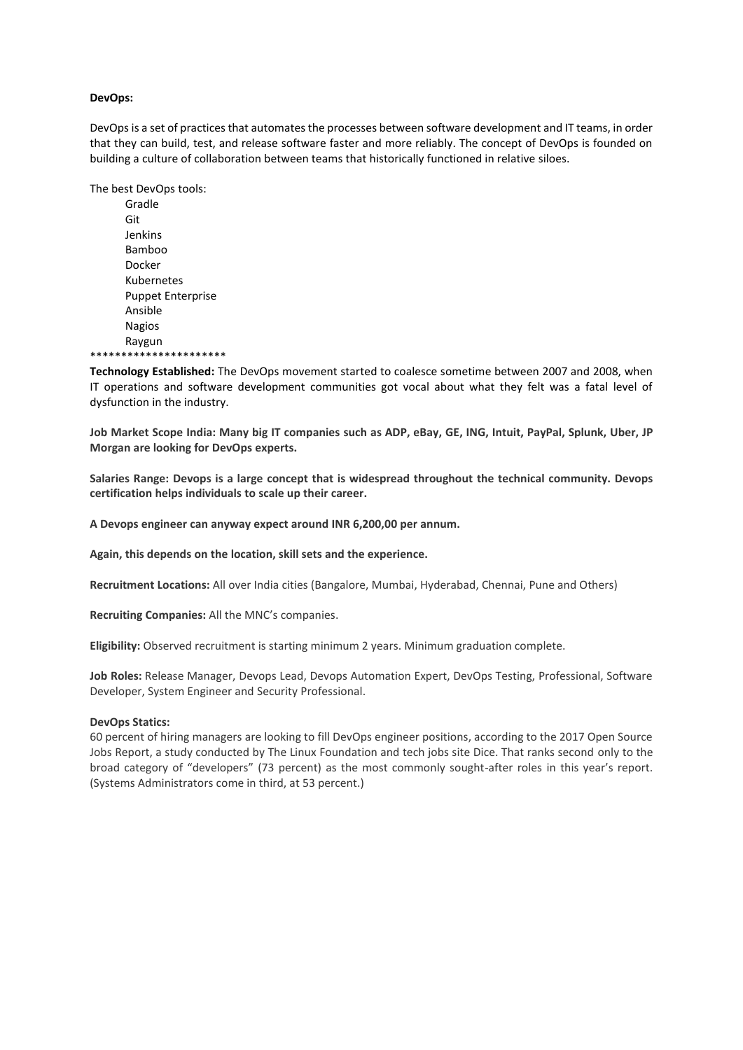## **DevOps:**

DevOps is a set of practices that automates the processes between software development and IT teams, in order that they can build, test, and release software faster and more reliably. The concept of DevOps is founded on building a culture of collaboration between teams that historically functioned in relative siloes.

The best DevOps tools:

Gradle Git Jenkins Bamboo Docker Kubernetes Puppet Enterprise Ansible Nagios Raygun \*\*\*\*\*\*\*\*\*\*\*\*\*\*\*\*\*\*\*\*\*\*

**Technology Established:** The DevOps movement started to coalesce sometime between 2007 and 2008, when IT operations and software development communities got vocal about what they felt was a fatal level of dysfunction in the industry.

Job Market Scope India: Many big IT companies such as ADP, eBay, GE, ING, Intuit, PayPal, Splunk, Uber, JP **Morgan are looking for DevOps experts.**

**Salaries Range: Devops is a large concept that is widespread throughout the technical community. Devops certification helps individuals to scale up their career.**

**A Devops engineer can anyway expect around INR 6,200,00 per annum.**

**Again, this depends on the location, skill sets and the experience.**

**Recruitment Locations:** All over India cities (Bangalore, Mumbai, Hyderabad, Chennai, Pune and Others)

**Recruiting Companies:** All the MNC's companies.

**Eligibility:** Observed recruitment is starting minimum 2 years. Minimum graduation complete.

**Job Roles:** Release Manager, Devops Lead, Devops Automation Expert, DevOps Testing, Professional, Software Developer, System Engineer and Security Professional.

## **DevOps Statics:**

60 percent of hiring managers are looking to fill DevOps engineer positions, according to the 2017 Open Source Jobs Report, a study conducted by The Linux Foundation and tech jobs site Dice. That ranks second only to the broad category of "developers" (73 percent) as the most commonly sought-after roles in this year's report. (Systems Administrators come in third, at 53 percent.)